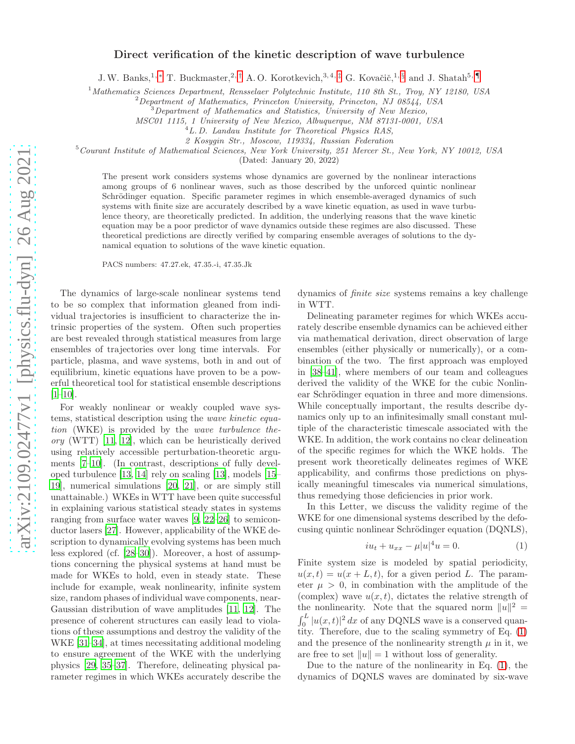## Direct verification of the kinetic description of wave turbulence

J.W. Banks,<sup>1,[∗](#page-3-0)</sup> T. Buckmaster,<sup>2,[†](#page-3-1)</sup> A.O. Korotkevich,<sup>3,4,[‡](#page-3-2)</sup> G. Kovačič,<sup>1,[§](#page-3-3)</sup> and J. Shatah<sup>5,[¶](#page-3-4)</sup>

<sup>1</sup>*Mathematics Sciences Department, Rensselaer Polytechnic Institute, 110 8th St., Troy, NY 12180, USA*

<sup>2</sup>*Department of Mathematics, Princeton University, Princeton, NJ 08544, USA*

<sup>3</sup>*Department of Mathematics and Statistics, University of New Mexico,*

*MSC01 1115, 1 University of New Mexico, Albuquerque, NM 87131-0001, USA*

<sup>4</sup>*L. D. Landau Institute for Theoretical Physics RAS,*

*2 Kosygin Str., Moscow, 119334, Russian Federation*

<sup>5</sup>*Courant Institute of Mathematical Sciences, New York University, 251 Mercer St., New York, NY 10012, USA*

(Dated: January 20, 2022)

The present work considers systems whose dynamics are governed by the nonlinear interactions among groups of 6 nonlinear waves, such as those described by the unforced quintic nonlinear Schrödinger equation. Specific parameter regimes in which ensemble-averaged dynamics of such systems with finite size are accurately described by a wave kinetic equation, as used in wave turbulence theory, are theoretically predicted. In addition, the underlying reasons that the wave kinetic equation may be a poor predictor of wave dynamics outside these regimes are also discussed. These theoretical predictions are directly verified by comparing ensemble averages of solutions to the dynamical equation to solutions of the wave kinetic equation.

PACS numbers: 47.27.ek, 47.35.-i, 47.35.Jk

The dynamics of large-scale nonlinear systems tend to be so complex that information gleaned from individual trajectories is insufficient to characterize the intrinsic properties of the system. Often such properties are best revealed through statistical measures from large ensembles of trajectories over long time intervals. For particle, plasma, and wave systems, both in and out of equilibrium, kinetic equations have proven to be a powerful theoretical tool for statistical ensemble descriptions  $[1-10]$  $[1-10]$ .

For weakly nonlinear or weakly coupled wave systems, statistical description using the wave kinetic equation (WKE) is provided by the wave turbulence the- $\textit{ory}$  (WTT) [\[11](#page-4-2), [12\]](#page-4-3), which can be heuristically derived using relatively accessible perturbation-theoretic arguments [\[7](#page-4-4)[–10](#page-4-1)]. (In contrast, descriptions of fully developed turbulence [\[13,](#page-4-5) [14\]](#page-4-6) rely on scaling [\[13\]](#page-4-5), models [\[15](#page-4-7)– [19\]](#page-4-8), numerical simulations [\[20,](#page-4-9) [21\]](#page-4-10), or are simply still unattainable.) WKEs in WTT have been quite successful in explaining various statistical steady states in systems ranging from surface water waves [\[9,](#page-4-11) [22](#page-4-12)[–26\]](#page-4-13) to semiconductor lasers [\[27\]](#page-4-14). However, applicability of the WKE description to dynamically evolving systems has been much less explored (cf. [\[28](#page-4-15)[–30\]](#page-4-16)). Moreover, a host of assumptions concerning the physical systems at hand must be made for WKEs to hold, even in steady state. These include for example, weak nonlinearity, infinite system size, random phases of individual wave components, near-Gaussian distribution of wave amplitudes [\[11,](#page-4-2) [12](#page-4-3)]. The presence of coherent structures can easily lead to violations of these assumptions and destroy the validity of the WKE [\[31](#page-4-17)[–34](#page-4-18)], at times necessitating additional modeling to ensure agreement of the WKE with the underlying physics [\[29,](#page-4-19) [35](#page-4-20)[–37\]](#page-4-21). Therefore, delineating physical parameter regimes in which WKEs accurately describe the

dynamics of finite size systems remains a key challenge in WTT.

Delineating parameter regimes for which WKEs accurately describe ensemble dynamics can be achieved either via mathematical derivation, direct observation of large ensembles (either physically or numerically), or a combination of the two. The first approach was employed in [\[38–](#page-4-22)[41\]](#page-4-23), where members of our team and colleagues derived the validity of the WKE for the cubic Nonlinear Schrödinger equation in three and more dimensions. While conceptually important, the results describe dynamics only up to an infinitesimally small constant multiple of the characteristic timescale associated with the WKE. In addition, the work contains no clear delineation of the specific regimes for which the WKE holds. The present work theoretically delineates regimes of WKE applicability, and confirms those predictions on physically meaningful timescales via numerical simulations, thus remedying those deficiencies in prior work.

In this Letter, we discuss the validity regime of the WKE for one dimensional systems described by the defocusing quintic nonlinear Schrödinger equation (DQNLS),

<span id="page-0-0"></span>
$$
iu_t + u_{xx} - \mu |u|^4 u = 0.
$$
 (1)

Finite system size is modeled by spatial periodicity,  $u(x,t) = u(x + L, t)$ , for a given period L. The parameter  $\mu > 0$ , in combination with the amplitude of the (complex) wave  $u(x, t)$ , dictates the relative strength of the nonlinearity. Note that the squared norm  $||u||^2 =$  $\int_0^L |u(x,t)|^2 dx$  of any DQNLS wave is a conserved quantity. Therefore, due to the scaling symmetry of Eq. [\(1\)](#page-0-0) and the presence of the nonlinearity strength  $\mu$  in it, we are free to set  $||u|| = 1$  without loss of generality.

Due to the nature of the nonlinearity in Eq. [\(1\)](#page-0-0), the dynamics of DQNLS waves are dominated by six-wave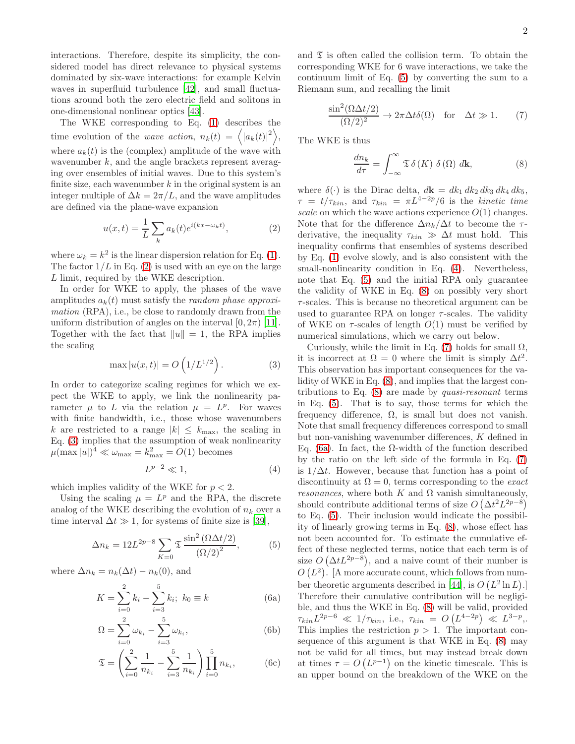interactions. Therefore, despite its simplicity, the considered model has direct relevance to physical systems dominated by six-wave interactions: for example Kelvin waves in superfluid turbulence [\[42](#page-4-24)], and small fluctuations around both the zero electric field and solitons in one-dimensional nonlinear optics [\[43\]](#page-4-25).

The WKE corresponding to Eq. [\(1\)](#page-0-0) describes the time evolution of the *wave action*,  $n_k(t) = \langle |a_k(t)|^2 \rangle$ , where  $a_k(t)$  is the (complex) amplitude of the wave with wavenumber  $k$ , and the angle brackets represent averaging over ensembles of initial waves. Due to this system's finite size, each wavenumber  $k$  in the original system is an integer multiple of  $\Delta k = 2\pi/L$ , and the wave amplitudes are defined via the plane-wave expansion

<span id="page-1-0"></span>
$$
u(x,t) = \frac{1}{L} \sum_{k} a_k(t) e^{i(kx - \omega_k t)},
$$
\n(2)

where  $\omega_k = k^2$  is the linear dispersion relation for Eq. [\(1\)](#page-0-0). The factor  $1/L$  in Eq. [\(2\)](#page-1-0) is used with an eye on the large L limit, required by the WKE description.

In order for WKE to apply, the phases of the wave amplitudes  $a_k(t)$  must satisfy the *random phase approxi*mation (RPA), i.e., be close to randomly drawn from the uniform distribution of angles on the interval  $[0, 2\pi)$  [\[11\]](#page-4-2). Together with the fact that  $||u|| = 1$ , the RPA implies the scaling

<span id="page-1-1"></span>
$$
\max |u(x,t)| = O\left(1/L^{1/2}\right).
$$
 (3)

In order to categorize scaling regimes for which we expect the WKE to apply, we link the nonlinearity parameter  $\mu$  to L via the relation  $\mu = L^p$ . For waves with finite bandwidth, i.e., those whose wavenumbers k are restricted to a range  $|k| \leq k_{\text{max}}$ , the scaling in Eq. [\(3\)](#page-1-1) implies that the assumption of weak nonlinearity  $\mu(\max |u|)^4 \ll \omega_{\max} = k_{\max}^2 = O(1)$  becomes

<span id="page-1-3"></span><span id="page-1-2"></span>
$$
L^{p-2} \ll 1,\tag{4}
$$

which implies validity of the WKE for  $p < 2$ .

Using the scaling  $\mu = L^p$  and the RPA, the discrete analog of the WKE describing the evolution of  $n_k$  over a time interval  $\Delta t \gg 1$ , for systems of finite size is [\[39\]](#page-4-26),

$$
\Delta n_k = 12L^{2p-8} \sum_{K=0} \mathfrak{T} \frac{\sin^2 \left(\Omega \Delta t/2\right)}{\left(\Omega/2\right)^2},\tag{5}
$$

where  $\Delta n_k = n_k(\Delta t) - n_k(0)$ , and

<span id="page-1-6"></span>
$$
K = \sum_{i=0}^{2} k_i - \sum_{i=3}^{5} k_i; \ k_0 \equiv k \tag{6a}
$$

$$
\Omega = \sum_{i=0}^{2} \omega_{k_i} - \sum_{i=3}^{5} \omega_{k_i},
$$
 (6b)

$$
\mathfrak{T} = \left(\sum_{i=0}^{2} \frac{1}{n_{k_i}} - \sum_{i=3}^{5} \frac{1}{n_{k_i}}\right) \prod_{i=0}^{5} n_{k_i},\tag{6c}
$$

and  $\mathfrak T$  is often called the collision term. To obtain the corresponding WKE for 6 wave interactions, we take the continuum limit of Eq. [\(5\)](#page-1-2) by converting the sum to a Riemann sum, and recalling the limit

<span id="page-1-5"></span>
$$
\frac{\sin^2(\Omega \Delta t/2)}{(\Omega/2)^2} \to 2\pi \Delta t \delta(\Omega) \quad \text{for} \quad \Delta t \gg 1. \tag{7}
$$

The WKE is thus

<span id="page-1-4"></span>
$$
\frac{dn_k}{d\tau} = \int_{-\infty}^{\infty} \mathfrak{T} \delta(K) \delta(\Omega) d\mathbf{k},\tag{8}
$$

where  $\delta(\cdot)$  is the Dirac delta,  $d\mathbf{k} = dk_1 dk_2 dk_3 dk_4 dk_5$ ,  $\tau = t/\tau_{kin}$ , and  $\tau_{kin} = \pi L^{4-2p}/6$  is the kinetic time scale on which the wave actions experience  $O(1)$  changes. Note that for the difference  $\Delta n_k/\Delta t$  to become the  $\tau$ derivative, the inequality  $\tau_{kin} \gg \Delta t$  must hold. This inequality confirms that ensembles of systems described by Eq. [\(1\)](#page-0-0) evolve slowly, and is also consistent with the small-nonlinearity condition in Eq.  $(4)$ . Nevertheless, note that Eq. [\(5\)](#page-1-2) and the initial RPA only guarantee the validity of WKE in Eq. [\(8\)](#page-1-4) on possibly very short τ-scales. This is because no theoretical argument can be used to guarantee RPA on longer  $\tau$ -scales. The validity of WKE on  $\tau$ -scales of length  $O(1)$  must be verified by numerical simulations, which we carry out below.

Curiously, while the limit in Eq. [\(7\)](#page-1-5) holds for small  $\Omega$ , it is incorrect at  $\Omega = 0$  where the limit is simply  $\Delta t^2$ . This observation has important consequences for the validity of WKE in Eq. [\(8\)](#page-1-4), and implies that the largest contributions to Eq.  $(8)$  are made by *quasi-resonant* terms in Eq. [\(5\)](#page-1-2). That is to say, those terms for which the frequency difference,  $\Omega$ , is small but does not vanish. Note that small frequency differences correspond to small but non-vanishing wavenumber differences, K defined in Eq. [\(6a\)](#page-1-6). In fact, the  $\Omega$ -width of the function described by the ratio on the left side of the formula in Eq. [\(7\)](#page-1-5) is  $1/\Delta t$ . However, because that function has a point of discontinuity at  $\Omega = 0$ , terms corresponding to the *exact resonances*, where both K and  $\Omega$  vanish simultaneously, should contribute additional terms of size  $O(\Delta t^2 L^{2p-8})$ to Eq. [\(5\)](#page-1-2). Their inclusion would indicate the possibility of linearly growing terms in Eq. [\(8\)](#page-1-4), whose effect has not been accounted for. To estimate the cumulative effect of these neglected terms, notice that each term is of size  $O(\Delta t L^{2p-8})$ , and a naive count of their number is  $O(L^2)$ . [A more accurate count, which follows from num-ber theoretic arguments described in [\[44](#page-4-27)], is  $O(L^2 \ln L)$ . Therefore their cumulative contribution will be negligible, and thus the WKE in Eq. [\(8\)](#page-1-4) will be valid, provided  $\tau_{kin} L^{2p-6} \ll 1/\tau_{kin}$ , i.e.,  $\tau_{kin} = O\left(L^{4-2p}\right) \ll L^{3-p}$ ,. This implies the restriction  $p > 1$ . The important consequence of this argument is that WKE in Eq. [\(8\)](#page-1-4) may not be valid for all times, but may instead break down at times  $\tau = O\left(L^{p-1}\right)$  on the kinetic timescale. This is an upper bound on the breakdown of the WKE on the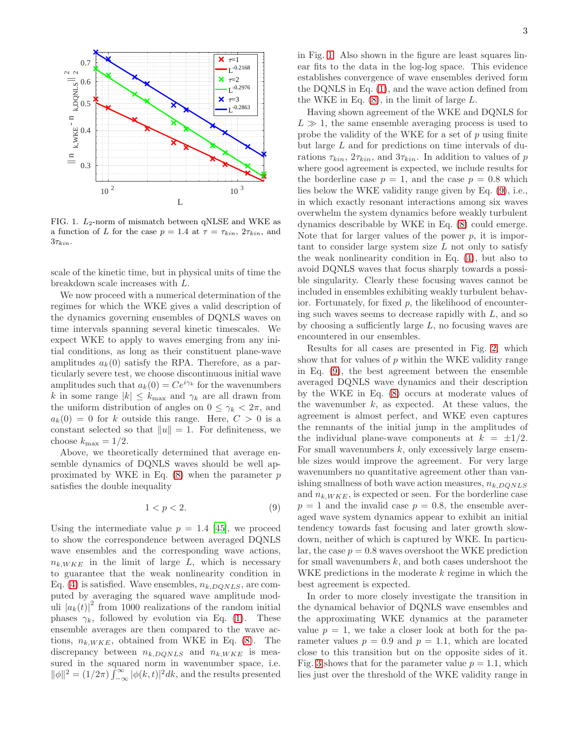

<span id="page-2-0"></span>FIG. 1.  $L_2$ -norm of mismatch between qNLSE and WKE as a function of L for the case  $p = 1.4$  at  $\tau = \tau_{kin}$ ,  $2\tau_{kin}$ , and  $3\tau_{kin}$ .

scale of the kinetic time, but in physical units of time the breakdown scale increases with L.

We now proceed with a numerical determination of the regimes for which the WKE gives a valid description of the dynamics governing ensembles of DQNLS waves on time intervals spanning several kinetic timescales. We expect WKE to apply to waves emerging from any initial conditions, as long as their constituent plane-wave amplitudes  $a_k(0)$  satisfy the RPA. Therefore, as a particularly severe test, we choose discontinuous initial wave amplitudes such that  $a_k(0) = Ce^{i\gamma_k}$  for the wavenumbers k in some range  $|k| \leq k_{\text{max}}$  and  $\gamma_k$  are all drawn from the uniform distribution of angles on  $0 \leq \gamma_k < 2\pi$ , and  $a_k(0) = 0$  for k outside this range. Here,  $C > 0$  is a constant selected so that  $||u|| = 1$ . For definiteness, we choose  $k_{\text{max}} = 1/2$ .

Above, we theoretically determined that average ensemble dynamics of DQNLS waves should be well approximated by WKE in Eq.  $(8)$  when the parameter  $p$ satisfies the double inequality

<span id="page-2-1"></span>
$$
1 < p < 2. \tag{9}
$$

Using the intermediate value  $p = 1.4$  [\[45\]](#page-4-28), we proceed to show the correspondence between averaged DQNLS wave ensembles and the corresponding wave actions,  $n_{k, WKE}$  in the limit of large L, which is necessary to guarantee that the weak nonlinearity condition in Eq. [\(4\)](#page-1-3) is satisfied. Wave ensembles,  $n_{k,DOMLS}$ , are computed by averaging the squared wave amplitude moduli  $|a_k(t)|^2$  from 1000 realizations of the random initial phases  $\gamma_k$ , followed by evolution via Eq. [\(1\)](#page-0-0). These ensemble averages are then compared to the wave actions,  $n_{k, WKE}$ , obtained from WKE in Eq. [\(8\)](#page-1-4). The discrepancy between  $n_{k,DQNLS}$  and  $n_{k,WKE}$  is measured in the squared norm in wavenumber space, i.e.  $\|\phi\|^2 = (1/2\pi) \int_{-\infty}^{\infty} |\phi(k, t)|^2 dk$ , and the results presented

in Fig. [1.](#page-2-0) Also shown in the figure are least squares linear fits to the data in the log-log space. This evidence establishes convergence of wave ensembles derived form the DQNLS in Eq. [\(1\)](#page-0-0), and the wave action defined from the WKE in Eq.  $(8)$ , in the limit of large  $L$ .

Having shown agreement of the WKE and DQNLS for  $L \gg 1$ , the same ensemble averaging process is used to probe the validity of the WKE for a set of  $p$  using finite but large L and for predictions on time intervals of durations  $\tau_{kin}$ ,  $2\tau_{kin}$ , and  $3\tau_{kin}$ . In addition to values of p where good agreement is expected, we include results for the borderline case  $p = 1$ , and the case  $p = 0.8$  which lies below the WKE validity range given by Eq. [\(9\)](#page-2-1), i.e., in which exactly resonant interactions among six waves overwhelm the system dynamics before weakly turbulent dynamics describable by WKE in Eq. [\(8\)](#page-1-4) could emerge. Note that for larger values of the power  $p$ , it is important to consider large system size  $L$  not only to satisfy the weak nonlinearity condition in Eq. [\(4\)](#page-1-3), but also to avoid DQNLS waves that focus sharply towards a possible singularity. Clearly these focusing waves cannot be included in ensembles exhibiting weakly turbulent behavior. Fortunately, for fixed  $p$ , the likelihood of encountering such waves seems to decrease rapidly with  $L$ , and so by choosing a sufficiently large  $L$ , no focusing waves are encountered in our ensembles.

Results for all cases are presented in Fig. [2,](#page-3-5) which show that for values of  $p$  within the WKE validity range in Eq. [\(9\)](#page-2-1), the best agreement between the ensemble averaged DQNLS wave dynamics and their description by the WKE in Eq. [\(8\)](#page-1-4) occurs at moderate values of the wavenumber  $k$ , as expected. At these values, the agreement is almost perfect, and WKE even captures the remnants of the initial jump in the amplitudes of the individual plane-wave components at  $k = \pm 1/2$ . For small wavenumbers  $k$ , only excessively large ensemble sizes would improve the agreement. For very large wavenumbers no quantitative agreement other than vanishing smallness of both wave action measures,  $n_{k,DOMLS}$ and  $n_{k, WKE}$ , is expected or seen. For the borderline case  $p = 1$  and the invalid case  $p = 0.8$ , the ensemble averaged wave system dynamics appear to exhibit an initial tendency towards fast focusing and later growth slowdown, neither of which is captured by WKE. In particular, the case  $p = 0.8$  waves overshoot the WKE prediction for small wavenumbers  $k$ , and both cases undershoot the WKE predictions in the moderate  $k$  regime in which the best agreement is expected.

In order to more closely investigate the transition in the dynamical behavior of DQNLS wave ensembles and the approximating WKE dynamics at the parameter value  $p = 1$ , we take a closer look at both for the parameter values  $p = 0.9$  and  $p = 1.1$ , which are located close to this transition but on the opposite sides of it. Fig. [3](#page-3-6) shows that for the parameter value  $p = 1.1$ , which lies just over the threshold of the WKE validity range in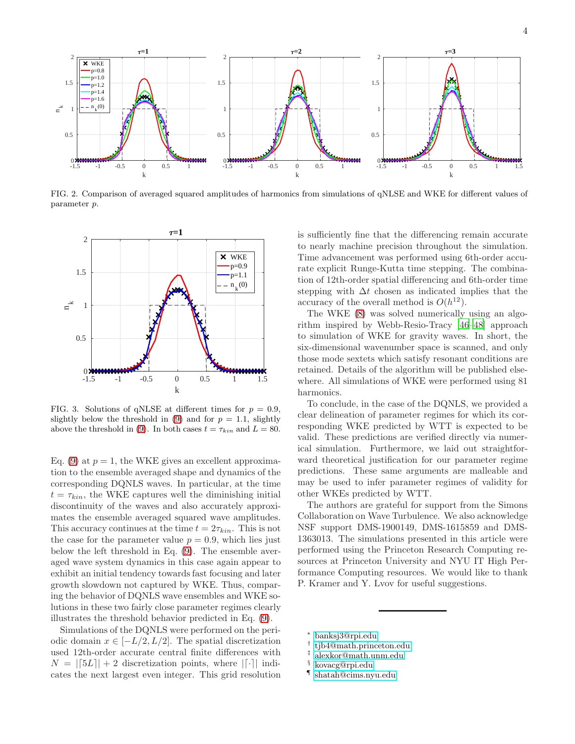

<span id="page-3-5"></span>FIG. 2. Comparison of averaged squared amplitudes of harmonics from simulations of qNLSE and WKE for different values of parameter p.



<span id="page-3-6"></span>FIG. 3. Solutions of qNLSE at different times for  $p = 0.9$ , slightly below the threshold in [\(9\)](#page-2-1) and for  $p = 1.1$ , slightly above the threshold in [\(9\)](#page-2-1). In both cases  $t = \tau_{kin}$  and  $L = 80$ .

Eq. [\(9\)](#page-2-1) at  $p = 1$ , the WKE gives an excellent approximation to the ensemble averaged shape and dynamics of the corresponding DQNLS waves. In particular, at the time  $t = \tau_{kin}$ , the WKE captures well the diminishing initial discontinuity of the waves and also accurately approximates the ensemble averaged squared wave amplitudes. This accuracy continues at the time  $t = 2\tau_{kin}$ . This is not the case for the parameter value  $p = 0.9$ , which lies just below the left threshold in Eq. [\(9\)](#page-2-1). The ensemble averaged wave system dynamics in this case again appear to exhibit an initial tendency towards fast focusing and later growth slowdown not captured by WKE. Thus, comparing the behavior of DQNLS wave ensembles and WKE solutions in these two fairly close parameter regimes clearly illustrates the threshold behavior predicted in Eq. [\(9\)](#page-2-1).

Simulations of the DQNLS were performed on the periodic domain  $x \in [-L/2, L/2]$ . The spatial discretization used 12th-order accurate central finite differences with  $N = |[5L]| + 2$  discretization points, where  $|[\cdot]|$  indicates the next largest even integer. This grid resolution

is sufficiently fine that the differencing remain accurate to nearly machine precision throughout the simulation. Time advancement was performed using 6th-order accurate explicit Runge-Kutta time stepping. The combination of 12th-order spatial differencing and 6th-order time stepping with  $\Delta t$  chosen as indicated implies that the accuracy of the overall method is  $O(h^{12})$ .

The WKE [\(8\)](#page-1-4) was solved numerically using an algorithm inspired by Webb-Resio-Tracy [\[46](#page-4-29)[–48\]](#page-4-30) approach to simulation of WKE for gravity waves. In short, the six-dimensional wavenumber space is scanned, and only those mode sextets which satisfy resonant conditions are retained. Details of the algorithm will be published elsewhere. All simulations of WKE were performed using 81 harmonics.

To conclude, in the case of the DQNLS, we provided a clear delineation of parameter regimes for which its corresponding WKE predicted by WTT is expected to be valid. These predictions are verified directly via numerical simulation. Furthermore, we laid out straightforward theoretical justification for our parameter regime predictions. These same arguments are malleable and may be used to infer parameter regimes of validity for other WKEs predicted by WTT.

The authors are grateful for support from the Simons Collaboration on Wave Turbulence. We also acknowledge NSF support DMS-1900149, DMS-1615859 and DMS-1363013. The simulations presented in this article were performed using the Princeton Research Computing resources at Princeton University and NYU IT High Performance Computing resources. We would like to thank P. Kramer and Y. Lvov for useful suggestions.

- <sup>∗</sup> [banksj3@rpi.edu](mailto:banksj3@rpi.edu)
- <span id="page-3-0"></span>† [tjb4@math.princeton.edu](mailto:tjb4@math.princeton.edu)
- <span id="page-3-2"></span><span id="page-3-1"></span>‡ [alexkor@math.unm.edu](mailto:alexkor@math.unm.edu)
	- § [kovacg@rpi.edu](mailto:kovacg@rpi.edu)
- <span id="page-3-4"></span><span id="page-3-3"></span>¶ [shatah@cims.nyu.edu](mailto:shatah@cims.nyu.edu)